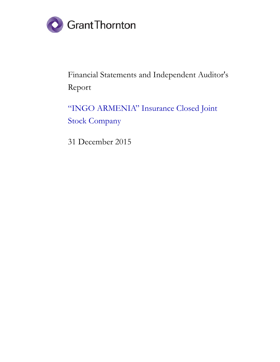

Financial Statements and Independent Auditor's Report

"INGO ARMENIA" Insurance Closed Joint Stock Company

31 December 2015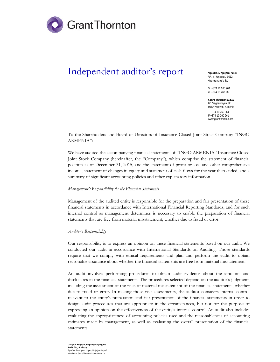

## Independent auditor's report

**9mulie Annuenu OPC** 33. p. bnbuul 0012 **Hununzjulu 8/1** 

Ð. +374 10 260 964  $$+374,10,260,961$ 

**Grant Thornton CJSC**  8/1 Vagharshyan Str. 0012 Yerevan, Armenia T +374 10 260 964 F +374 10 260 961 www.grantthornton.am

To the Shareholders and Board of Directors of Insurance Closed Joint Stock Company "INGO ARMENIA":

We have audited the accompanying financial statements of "INGO ARMENIA" Insurance Closed Joint Stock Company (hereinafter, the "Company"), which comprise the statement of financial position as of December 31, 2015, and the statement of profit or loss and other comprehensive income, statement of changes in equity and statement of cash flows for the year then ended, and a summary of significant accounting policies and other explanatory information

## *Management's Responsibility for the Financial Statements*

Management of the audited entity is responsible for the preparation and fair presentation of these financial statements in accordance with International Financial Reporting Standards, and for such internal control as management determines is necessary to enable the preparation of financial statements that are free from material misstatement, whether due to fraud or error.

## *Auditor's Responsibility*

Our responsibility is to express an opinion on these financial statements based on our audit. We conducted our audit in accordance with International Standards on Auditing. Those standards require that we comply with ethical requirements and plan and perform the audit to obtain reasonable assurance about whether the financial statements are free from material misstatement.

An audit involves performing procedures to obtain audit evidence about the amounts and disclosures in the financial statements. The procedures selected depend on the auditor's judgment, including the assessment of the risks of material misstatement of the financial statements, whether due to fraud or error. In making those risk assessments, the auditor considers internal control relevant to the entity's preparation and fair presentation of the financial statements in order to design audit procedures that are appropriate in the circumstances, but not for the purpose of expressing an opinion on the effectiveness of the entity's internal control. An audit also includes evaluating the appropriateness of accounting policies used and the reasonableness of accounting estimates made by management, as well as evaluating the overall presentation of the financial statements.

**Աուդիտ, Յարկեր, Խորիրդատվություն Audit, Tax, Advisory**  ghula annluan Puatnlut Annul Member of Grant Thornton International Ltd